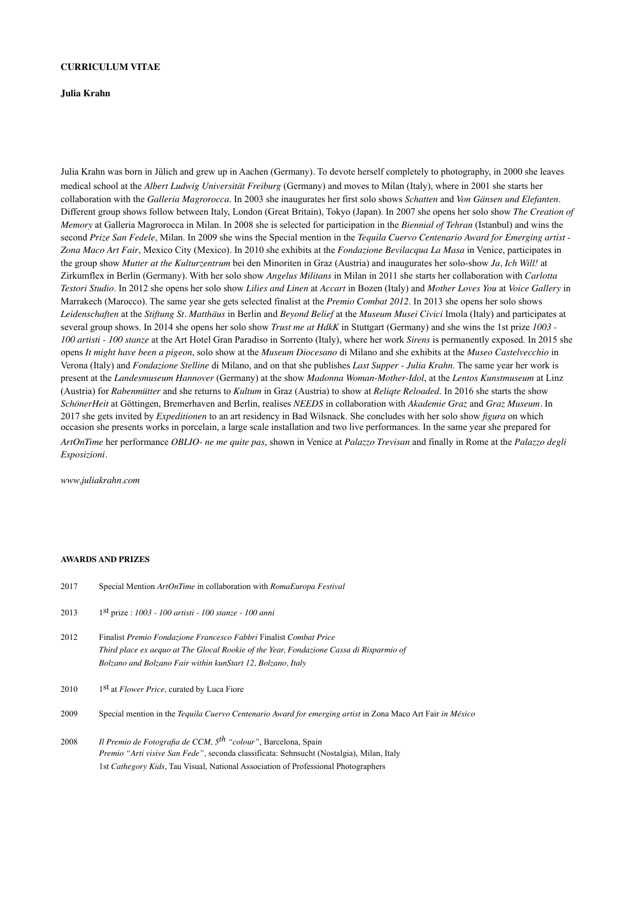## **CURRICULUM VITAE**

### **Julia Krahn**

Julia Krahn was born in Jülich and grew up in Aachen (Germany). To devote herself completely to photography, in 2000 she leaves medical school at the *Albert Ludwig Universität Freiburg* (Germany) and moves to Milan (Italy), where in 2001 she starts her collaboration with the *Galleria Magrorocca*. In 2003 she inaugurates her first solo shows *Schatten* and *Von Gänsen und Elefanten*. Different group shows follow between Italy, London (Great Britain), Tokyo (Japan). In 2007 she opens her solo show *The Creation of Memory* at Galleria Magrorocca in Milan. In 2008 she is selected for participation in the *Biennial of Tehran* (Istanbul) and wins the second *Prize San Fedele*, Milan. In 2009 she wins the Special mention in the *Tequila Cuervo Centenario Award for Emerging artist - Zona Maco Art Fair*, Mexico City (Mexico). In 2010 she exhibits at the *Fondazione Bevilacqua La Masa* in Venice, participates in the group show *Mutter at the Kulturzentrum* bei den Minoriten in Graz (Austria) and inaugurates her solo-show *Ja, Ich Will!* at Zirkumflex in Berlin (Germany). With her solo show *Angelus Militans* in Milan in 2011 she starts her collaboration with *Carlotta Testori Studio*. In 2012 she opens her solo show *Lilies and Linen* at *Accart* in Bozen (Italy) and *Mother Loves You* at *Voice Gallery* in Marrakech (Marocco). The same year she gets selected finalist at the *Premio Combat 2012*. In 2013 she opens her solo shows *Leidenschaften* at the *Stiftung St. Matthäus* in Berlin and *Beyond Belief* at the *Museum Musei Civici* Imola (Italy) and participates at several group shows. In 2014 she opens her solo show *Trust me at HdkK* in Stuttgart (Germany) and she wins the 1st prize *1003 - 100 artisti - 100 stanze* at the Art Hotel Gran Paradiso in Sorrento (Italy), where her work *Sirens* is permanently exposed. In 2015 she opens *It might have been a pigeon*, solo show at the *Museum Diocesano* di Milano and she exhibits at the *Museo Castelvecchio* in Verona (Italy) and *Fondazione Stelline* di Milano, and on that she publishes *Last Supper - Julia Krahn*. The same year her work is present at the *Landesmuseum Hannover* (Germany) at the show *Madonna Woman-Mother-Idol*, at the *Lentos Kunstmuseum* at Linz (Austria) for *Rabenmütter* and she returns to *Kultum* in Graz (Austria) to show at *Reliqte Reloaded*. In 2016 she starts the show *SchönerHeit* at Göttingen, Bremerhaven and Berlin, realises *NEEDS* in collaboration with *Akademie Graz* and *Graz Museum.* In 2017 she gets invited by *Expeditionen* to an art residency in Bad Wilsnack. She concludes with her solo show *figura* on which occasion she presents works in porcelain, a large scale installation and two live performances. In the same year she prepared for *ArtOnTime* her performance *OBLIO- ne me quite pas*, shown in Venice at *Palazzo Trevisan* and finally in Rome at the *Palazzo degli Esposizioni.* 

*www.juliakrahn.com* 

#### **AWARDS AND PRIZES**

| 2017 | Special Mention ArtOnTime in collaboration with RomaEuropa Festival                                                                                                                                                         |
|------|-----------------------------------------------------------------------------------------------------------------------------------------------------------------------------------------------------------------------------|
| 2013 | $1st$ prize : 1003 - 100 artisti - 100 stanze - 100 anni                                                                                                                                                                    |
| 2012 | Finalist Premio Fondazione Francesco Fabbri Finalist Combat Price<br>Third place ex aequo at The Glocal Rookie of the Year, Fondazione Cassa di Risparmio of<br>Bolzano and Bolzano Fair within kunStart 12, Bolzano, Italy |
| 2010 | 1 <sup>st</sup> at <i>Flower Price</i> , curated by Luca Fiore                                                                                                                                                              |
| 2009 | Special mention in the Tequila Cuervo Centenario Award for emerging artist in Zona Maco Art Fair in México                                                                                                                  |
| 2008 | Il Premio de Fotografia de CCM, 5 <sup>th</sup> "colour", Barcelona, Spain<br>Premio "Arti visive San Fede", seconda classificata: Sehnsucht (Nostalgia), Milan, Italy                                                      |

1st *Cathegory Kids*, Tau Visual, National Association of Professional Photographers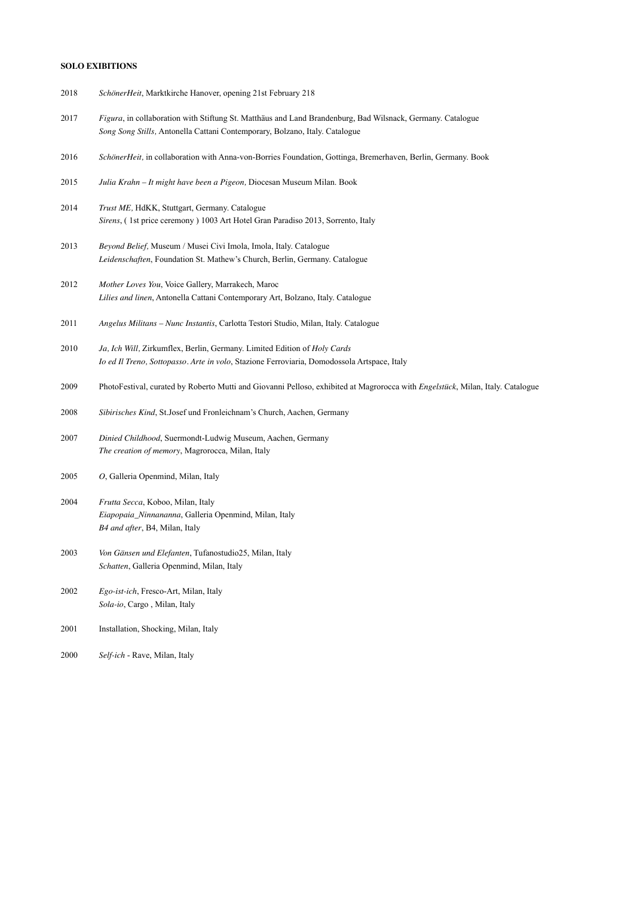## **SOLO EXIBITIONS**

- 2018 *SchönerHeit*, Marktkirche Hanover, opening 21st February 218
- 2017 *Figura*, in collaboration with Stiftung St. Matthäus and Land Brandenburg, Bad Wilsnack, Germany. Catalogue *Song Song Stills,* Antonella Cattani Contemporary, Bolzano, Italy. Catalogue
- 2016 *SchönerHeit,* in collaboration with Anna-von-Borries Foundation, Gottinga, Bremerhaven, Berlin, Germany. Book
- 2015 *Julia Krahn It might have been a Pigeon,* Diocesan Museum Milan. Book
- 2014 *Trust ME,* HdKK, Stuttgart, Germany. Catalogue *Sirens*, ( 1st price ceremony ) 1003 Art Hotel Gran Paradiso 2013, Sorrento, Italy
- 2013 *Beyond Belief,* Museum / Musei Civi Imola, Imola, Italy. Catalogue *Leidenschaften*, Foundation St. Mathew's Church, Berlin, Germany. Catalogue
- 2012 *Mother Loves You*, Voice Gallery, Marrakech, Maroc *Lilies and linen*, Antonella Cattani Contemporary Art, Bolzano, Italy. Catalogue
- 2011 *Angelus Militans Nunc Instantis*, Carlotta Testori Studio, Milan, Italy. Catalogue
- 2010 *Ja, Ich Will,* Zirkumflex, Berlin, Germany. Limited Edition of *Holy Cards Io ed Il Treno, Sottopasso. Arte in volo*, Stazione Ferroviaria, Domodossola Artspace, Italy
- 2009 PhotoFestival, curated by Roberto Mutti and Giovanni Pelloso, exhibited at Magrorocca with *Engelstück*, Milan, Italy. Catalogue
- 2008 *Sibirisches Kind*, St.Josef und Fronleichnam's Church, Aachen, Germany
- 2007 *Dinied Childhood*, Suermondt-Ludwig Museum, Aachen, Germany *The creation of memory*, Magrorocca, Milan, Italy
- 2005 *O*, Galleria Openmind, Milan, Italy
- 2004 *Frutta Secca*, Koboo, Milan, Italy *Eiapopaia\_Ninnananna*, Galleria Openmind, Milan, Italy *B4 and after*, B4, Milan, Italy
- 2003 *Von Gänsen und Elefanten*, Tufanostudio25, Milan, Italy *Schatten*, Galleria Openmind, Milan, Italy
- 2002 *Ego-ist-ich*, Fresco-Art, Milan, Italy *Sola-io*, Cargo , Milan, Italy
- 2001 Installation, Shocking, Milan, Italy
- 2000 *Self-ich*  Rave, Milan, Italy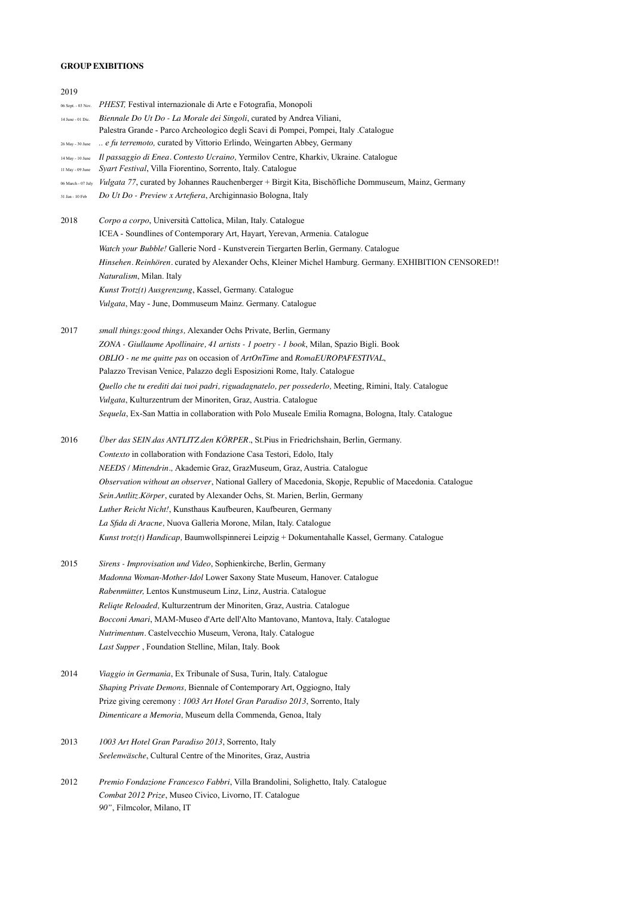# **GROUP EXIBITIONS**

*90"*, Filmcolor, Milano, IT

| 2019                                 |                                                                                                                                                      |
|--------------------------------------|------------------------------------------------------------------------------------------------------------------------------------------------------|
| 06 Sept. - 03 Nov.                   | PHEST, Festival internazionale di Arte e Fotografia, Monopoli                                                                                        |
| 14 June - 01 Dic.                    | Biennale Do Ut Do - La Morale dei Singoli, curated by Andrea Viliani,                                                                                |
|                                      | Palestra Grande - Parco Archeologico degli Scavi di Pompei, Pompei, Italy .Catalogue                                                                 |
| 26 May - 30 June                     | e fu terremoto, curated by Vittorio Erlindo, Weingarten Abbey, Germany                                                                               |
| 14 May - 10 June<br>11 May - 09 June | Il passaggio di Enea. Contesto Ucraino, Yermilov Centre, Kharkiv, Ukraine. Catalogue<br>Syart Festival, Villa Fiorentino, Sorrento, Italy. Catalogue |
| 06 March - 07 July                   | Vulgata 77, curated by Johannes Rauchenberger + Birgit Kita, Bischöfliche Dommuseum, Mainz, Germany                                                  |
| 31 Jan - 10 Feb                      | Do Ut Do - Preview x Artefiera, Archiginnasio Bologna, Italy                                                                                         |
| 2018                                 | Corpo a corpo, Università Cattolica, Milan, Italy. Catalogue                                                                                         |
|                                      | ICEA - Soundlines of Contemporary Art, Hayart, Yerevan, Armenia. Catalogue                                                                           |
|                                      | Watch your Bubble! Gallerie Nord - Kunstverein Tiergarten Berlin, Germany. Catalogue                                                                 |
|                                      | Hinsehen. Reinhören. curated by Alexander Ochs, Kleiner Michel Hamburg. Germany. EXHIBITION CENSORED!!                                               |
|                                      | Naturalism, Milan. Italy                                                                                                                             |
|                                      | Kunst Trotz(t) Ausgrenzung, Kassel, Germany. Catalogue                                                                                               |
|                                      | Vulgata, May - June, Dommuseum Mainz. Germany. Catalogue                                                                                             |
| 2017                                 | small things: good things, Alexander Ochs Private, Berlin, Germany                                                                                   |
|                                      | ZONA - Giullaume Apollinaire, 41 artists - 1 poetry - 1 book, Milan, Spazio Bigli. Book                                                              |
|                                      | OBLIO - ne me quitte pas on occasion of ArtOnTime and RomaEUROPAFESTIVAL,                                                                            |
|                                      | Palazzo Trevisan Venice, Palazzo degli Esposizioni Rome, Italy. Catalogue                                                                            |
|                                      | Quello che tu erediti dai tuoi padri, riguadagnatelo, per possederlo, Meeting, Rimini, Italy. Catalogue                                              |
|                                      | Vulgata, Kulturzentrum der Minoriten, Graz, Austria. Catalogue                                                                                       |
|                                      | Sequela, Ex-San Mattia in collaboration with Polo Museale Emilia Romagna, Bologna, Italy. Catalogue                                                  |
| 2016                                 | Über das SEIN das ANTLITZ den KÖRPER., St.Pius in Friedrichshain, Berlin, Germany.                                                                   |
|                                      | Contexto in collaboration with Fondazione Casa Testori, Edolo, Italy                                                                                 |
|                                      | NEEDS / Mittendrin., Akademie Graz, GrazMuseum, Graz, Austria. Catalogue                                                                             |
|                                      | Observation without an observer, National Gallery of Macedonia, Skopje, Republic of Macedonia. Catalogue                                             |
|                                      | Sein Antlitz Körper, curated by Alexander Ochs, St. Marien, Berlin, Germany                                                                          |
|                                      | Luther Reicht Nicht!, Kunsthaus Kaufbeuren, Kaufbeuren, Germany                                                                                      |
|                                      | La Sfida di Aracne, Nuova Galleria Morone, Milan, Italy. Catalogue                                                                                   |
|                                      | Kunst trotz(t) Handicap, Baumwollspinnerei Leipzig + Dokumentahalle Kassel, Germany. Catalogue                                                       |
| 2015                                 | Sirens - Improvisation und Video, Sophienkirche, Berlin, Germany                                                                                     |
|                                      | Madonna Woman-Mother-Idol Lower Saxony State Museum, Hanover. Catalogue                                                                              |
|                                      | Rabenmütter, Lentos Kunstmuseum Linz, Linz, Austria. Catalogue                                                                                       |
|                                      | Religte Reloaded, Kulturzentrum der Minoriten, Graz, Austria. Catalogue                                                                              |
|                                      | Bocconi Amari, MAM-Museo d'Arte dell'Alto Mantovano, Mantova, Italy. Catalogue                                                                       |
|                                      | Nutrimentum. Castelvecchio Museum, Verona, Italy. Catalogue                                                                                          |
|                                      | Last Supper, Foundation Stelline, Milan, Italy. Book                                                                                                 |
| 2014                                 | Viaggio in Germania, Ex Tribunale of Susa, Turin, Italy. Catalogue                                                                                   |
|                                      | Shaping Private Demons, Biennale of Contemporary Art, Oggiogno, Italy                                                                                |
|                                      | Prize giving ceremony: 1003 Art Hotel Gran Paradiso 2013, Sorrento, Italy                                                                            |
|                                      | Dimenticare a Memoria, Museum della Commenda, Genoa, Italy                                                                                           |
| 2013                                 | 1003 Art Hotel Gran Paradiso 2013, Sorrento, Italy                                                                                                   |
|                                      | Seelenwäsche, Cultural Centre of the Minorites, Graz, Austria                                                                                        |
| 2012                                 | Premio Fondazione Francesco Fabbri, Villa Brandolini, Solighetto, Italy. Catalogue                                                                   |
|                                      | Combat 2012 Prize, Museo Civico, Livorno, IT. Catalogue                                                                                              |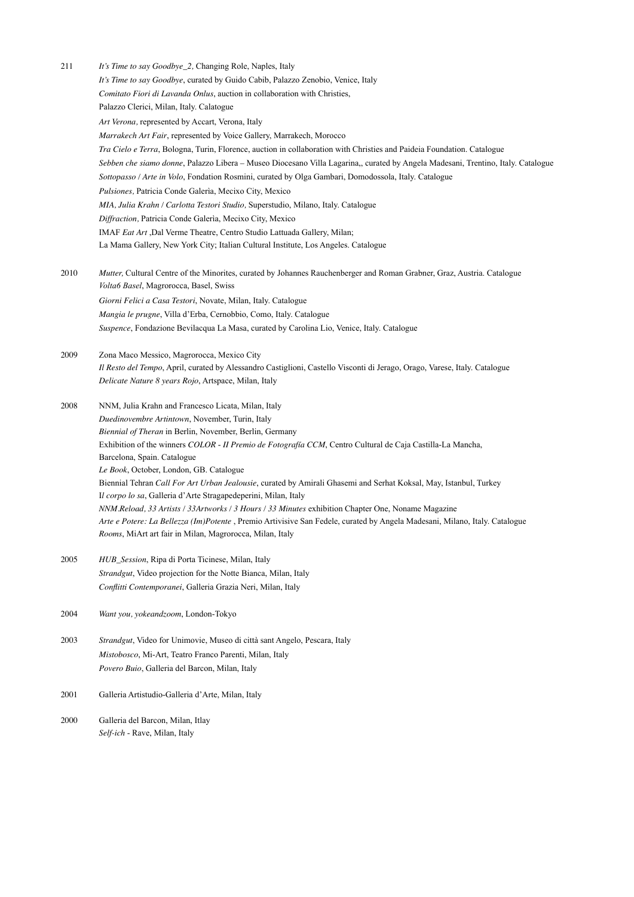211 *It's Time to say Goodbye\_2,* Changing Role, Naples, Italy *It's Time to say Goodbye*, curated by Guido Cabib, Palazzo Zenobio, Venice, Italy *Comitato Fiori di Lavanda Onlus*, auction in collaboration with Christies, Palazzo Clerici, Milan, Italy. Calatogue *Art Verona,* represented by Accart, Verona, Italy *Marrakech Art Fair*, represented by Voice Gallery, Marrakech, Morocco *Tra Cielo e Terra*, Bologna, Turin, Florence, auction in collaboration with Christies and Paideia Foundation. Catalogue *Sebben che siamo donne*, Palazzo Libera *–* Museo Diocesano Villa Lagarina,, curated by Angela Madesani, Trentino, Italy. Catalogue *Sottopasso / Arte in Volo*, Fondation Rosmini, curated by Olga Gambari, Domodossola, Italy. Catalogue *Pulsiones,* Patricia Conde Galerìa, Mecixo City, Mexico *MIA, Julia Krahn / Carlotta Testori Studio,* Superstudio, Milano, Italy. Catalogue *Diffraction,* Patricia Conde Galerìa, Mecixo City, Mexico IMAF *Eat Art* ,Dal Verme Theatre, Centro Studio Lattuada Gallery, Milan; La Mama Gallery, New York City; Italian Cultural Institute, Los Angeles. Catalogue 2010 *Mutter, Cultural Centre of the Minorites, curated by Johannes Rauchenberger and Roman Grabner, Graz, Austria. Catalogue Volta6 Basel*, Magrorocca, Basel, Swiss *Giorni Felici a Casa Testori*, Novate, Milan, Italy. Catalogue *Mangia le prugne*, Villa d'Erba, Cernobbio, Como, Italy. Catalogue *Suspence*, Fondazione Bevilacqua La Masa, curated by Carolina Lio, Venice, Italy. Catalogue 2009 Zona Maco Messico, Magrorocca, Mexico City *Il Resto del Tempo*, April, curated by Alessandro Castiglioni, Castello Visconti di Jerago, Orago, Varese, Italy. Catalogue *Delicate Nature 8 years Rojo*, Artspace, Milan, Italy 2008 NNM, Julia Krahn and Francesco Licata, Milan, Italy *Duedinovembre Artintown*, November, Turin, Italy *Biennial of Theran* in Berlin, November, Berlin, Germany Exhibition of the winners *COLOR* - *II Premio de Fotografía CCM*, Centro Cultural de Caja Castilla-La Mancha, Barcelona, Spain. Catalogue *Le Book*, October, London, GB. Catalogue Biennial Tehran *Call For Art Urban Jealousie*, curated by Amirali Ghasemi and Serhat Koksal, May, Istanbul, Turkey I*l corpo lo sa*, Galleria d'Arte Stragapedeperini, Milan, Italy *NNM.Reload, 33 Artists / 33Artworks / 3 Hours / 33 Minutes* exhibition Chapter One, Noname Magazine *Arte e Potere: La Bellezza (Im)Potente* , Premio Artivisive San Fedele, curated by Angela Madesani, Milano, Italy. Catalogue *Rooms*, MiArt art fair in Milan, Magrorocca, Milan, Italy 2005 *HUB\_Session*, Ripa di Porta Ticinese, Milan, Italy *Strandgut*, Video projection for the Notte Bianca, Milan, Italy *Conflitti Contemporanei*, Galleria Grazia Neri, Milan, Italy 2004 *Want you, yokeandzoom*, London-Tokyo 2003 *Strandgut*, Video for Unimovie, Museo di città sant Angelo, Pescara, Italy *Mistobosco*, Mi-Art, Teatro Franco Parenti, Milan, Italy *Povero Buio*, Galleria del Barcon, Milan, Italy 2001 Galleria Artistudio-Galleria d'Arte, Milan, Italy

2000 Galleria del Barcon, Milan, Itlay *Self-ich* - Rave, Milan, Italy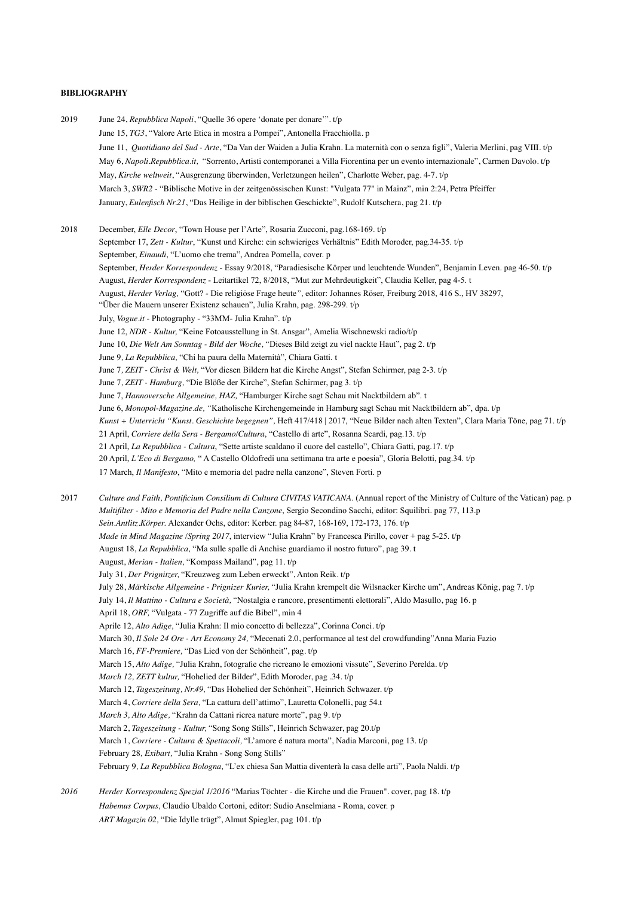#### **BIBLIOGRAPHY**

2019 June 24, *Repubblica Napoli*, "Quelle 36 opere 'donate per donare'". t/p June 15, *TG3*, "Valore Arte Etica in mostra a Pompei", Antonella Fracchiolla. p June 11, *Quotidiano del Sud - Arte*, "Da Van der Waiden a Julia Krahn. La maternità con o senza figli", Valeria Merlini, pag VIII. t/p May 6, *Napoli.Repubblica.it,* "Sorrento, Artisti contemporanei a Villa Fiorentina per un evento internazionale", Carmen Davolo. t/p May, *Kirche weltweit*, "Ausgrenzung überwinden, Verletzungen heilen", Charlotte Weber, pag. 4-7. t/p March 3, *SWR2* - "Biblische Motive in der zeitgenössischen Kunst: "Vulgata 77" in Mainz", min 2:24, Petra Pfeiffer January, *Eulenfisch Nr.21*, "Das Heilige in der biblischen Geschickte", Rudolf Kutschera, pag 21. t/p 2018 December, *Elle Decor*, "Town House per l'Arte", Rosaria Zucconi, pag.168-169. t/p September 17, *Zett - Kultur*, "Kunst und Kirche: ein schwieriges Verhältnis" Edith Moroder, pag.34-35. t/p September, *Einaudi*, "L'uomo che trema", Andrea Pomella, cover. p September, *Herder Korrespondenz* - Essay 9/2018, "Paradiesische Körper und leuchtende Wunden", Benjamin Leven. pag 46-50. t/p August, *Herder Korrespondenz* - Leitartikel 72, 8/2018, "Mut zur Mehrdeutigkeit", Claudia Keller, pag 4-5. t August, *Herder Verlag,* "Gott? - Die religiöse Frage heute*",* editor: Johannes Röser, Freiburg 2018, 416 S., HV 38297, "Über die Mauern unserer Existenz schauen", Julia Krahn, pag. 298-299. t/p July, *Vogue.it* - Photography - "33MM- Julia Krahn". t/p June 12, *NDR - Kultur,* "Keine Fotoausstellung in St. Ansgar"*,* Amelia Wischnewski radio/t/p June 10, *Die Welt Am Sonntag - Bild der Woche,* "Dieses Bild zeigt zu viel nackte Haut", pag 2. t/p June 9*, La Repubblica,* "Chi ha paura della Maternità", Chiara Gatti. t June 7*, ZEIT - Christ & Welt,* "Vor diesen Bildern hat die Kirche Angst", Stefan Schirmer, pag 2-3. t/p June 7*, ZEIT - Hamburg,* "Die Blöße der Kirche", Stefan Schirmer, pag 3. t/p June 7, *Hannoversche Allgemeine, HAZ,* "Hamburger Kirche sagt Schau mit Nacktbildern ab". t June 6, *Monopol-Magazine.de, "*Katholische Kirchengemeinde in Hamburg sagt Schau mit Nacktbildern ab", dpa. t/p *Kunst + Unterricht "Kunst. Geschichte begegnen",* Heft 417/418 | 2017, "Neue Bilder nach alten Texten", Clara Maria Töne, pag 71. t/p 21 April, *Corriere della Sera - Bergamo/Cultura*, "Castello di arte", Rosanna Scardi, pag.13. t/p 21 April, *La Repubblica - Cultura*, "Sette artiste scaldano il cuore del castello", Chiara Gatti, pag.17. t/p 20 April, *L'Eco di Bergamo,* " A Castello Oldofredi una settimana tra arte e poesia", Gloria Belotti, pag.34. t/p 17 March, *Il Manifesto*, "Mito e memoria del padre nella canzone", Steven Forti. p 2017 *Culture and Faith, Pontificium Consilium di Cultura CIVITAS VATICANA*. (Annual report of the Ministry of Culture of the Vatican) pag. p *Multifilter - Mito e Memoria del Padre nella Canzone*, Sergio Secondino Sacchi, editor: Squilibri. pag 77, 113.p *Sein.Antlitz.Körper.* Alexander Ochs, editor: Kerber. pag 84-87, 168-169, 172-173, 176. t/p *Made in Mind Magazine /Spring 2017*, interview "Julia Krahn" by Francesca Pirillo, cover + pag 5-25. t/p August 18, *La Repubblica,* "Ma sulle spalle di Anchise guardiamo il nostro futuro", pag 39. t August, *Merian - Italien,* "Kompass Mailand", pag 11. t/p July 31, *Der Prignitzer,* "Kreuzweg zum Leben erweckt", Anton Reik. t/p July 28, *Märkische Allgemeine - Prignizer Kurier,* "Julia Krahn krempelt die Wilsnacker Kirche um", Andreas König, pag 7. t/p July 14, *Il Mattino - Cultura e Società,* "Nostalgia e rancore, presentimenti elettorali", Aldo Masullo, pag 16. p April 18, *ORF,* "Vulgata - 77 Zugriffe auf die Bibel", min 4 Aprile 12, *Alto Adige,* "Julia Krahn: Il mio concetto di bellezza", Corinna Conci. t/p March 30, *Il Sole 24 Ore - Art Economy 24,* "Mecenati 2.0, performance al test del crowdfunding"Anna Maria Fazio March 16, *FF-Premiere,* "Das Lied von der Schönheit", pag. t/p March 15, *Alto Adige,* "Julia Krahn, fotografie che ricreano le emozioni vissute", Severino Perelda. t/p *March 12, ZETT kultur,* "Hohelied der Bilder", Edith Moroder, pag .34. t/p March 12, *Tageszeitung, Nr.49,* "Das Hohelied der Schönheit", Heinrich Schwazer. t/p March 4, *Corriere della Sera,* "La cattura dell'attimo", Lauretta Colonelli, pag 54.t *March 3, Alto Adige,* "Krahn da Cattani ricrea nature morte", pag 9. t/p March 2, *Tageszeitung - Kultur,* "Song Song Stills", Heinrich Schwazer, pag 20.t/p March 1, *Corriere - Cultura & Spettacoli,* "L'amore é natura morta", Nadia Marconi, pag 13. t/p February 28*, Exibart,* "Julia Krahn - Song Song Stills" February 9*, La Repubblica Bologna,* "L'ex chiesa San Mattia diventerà la casa delle arti", Paola Naldi. t/p *2016 Herder Korrespondenz Spezial 1/2016* "Marias Töchter - die Kirche und die Frauen". cover, pag 18. t/p *Habemus Corpus,* Claudio Ubaldo Cortoni, editor: Sudio Anselmiana - Roma, cover. p

*ART Magazin 02,* "Die Idylle trügt", Almut Spiegler, pag 101. t/p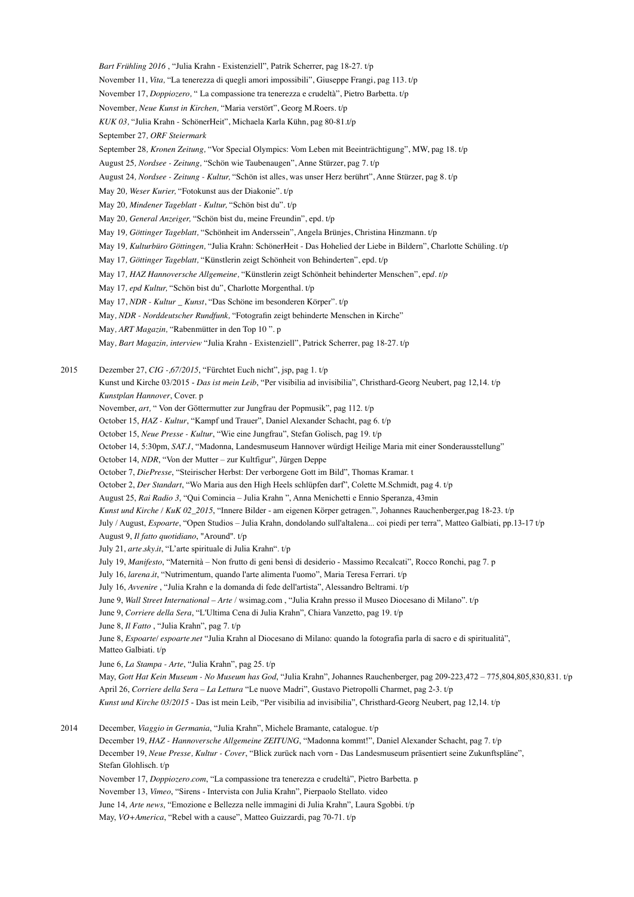*Bart Frühling 2016* , "Julia Krahn - Existenziell", Patrik Scherrer, pag 18-27. t/p November 11, *Vita,* "La tenerezza di quegli amori impossibili", Giuseppe Frangi, pag 113. t/p November 17, *Doppiozero,* " La compassione tra tenerezza e crudeltà", Pietro Barbetta. t/p November*, Neue Kunst in Kirchen,* "Maria verstört", Georg M.Roers. t/p *KUK 03,* "Julia Krahn - SchönerHeit", Michaela Karla Kühn, pag 80-81.t/p September 27*, ORF Steiermark* September 28*, Kronen Zeitung,* "Vor Special Olympics: Vom Leben mit Beeinträchtigung", MW, pag 18. t/p August 25*, Nordsee - Zeitung,* "Schön wie Taubenaugen", Anne Stürzer, pag 7. t/p August 24*, Nordsee - Zeitung - Kultur,* "Schön ist alles, was unser Herz berührt", Anne Stürzer, pag 8. t/p May 20*, Weser Kurier,* "Fotokunst aus der Diakonie". t/p May 20*, Mindener Tageblatt - Kultur,* "Schön bist du". t/p May 20*, General Anzeiger,* "Schön bist du, meine Freundin", epd. t/p May 19*, Göttinger Tageblatt,* "Schönheit im Anderssein", Angela Brünjes, Christina Hinzmann. t/p May 19*, Kulturbüro Göttingen,* "Julia Krahn: SchönerHeit - Das Hohelied der Liebe in Bildern", Charlotte Schüling. t/p May 17*, Göttinger Tageblatt,* "Künstlerin zeigt Schönheit von Behinderten", epd. t/p May 17*, HAZ Hannoversche Allgemeine,* "Künstlerin zeigt Schönheit behinderter Menschen", ep*d. t/p* May 17*, epd Kultur,* "Schön bist du", Charlotte Morgenthal. t/p May 17, *NDR - Kultur \_ Kunst*, "Das Schöne im besonderen Körper". t/p May*, NDR - Norddeutscher Rundfunk,* "Fotografin zeigt behinderte Menschen in Kirche" May*, ART Magazin,* "Rabenmütter in den Top 10 ". p May*, Bart Magazin, interview* "Julia Krahn - Existenziell", Patrick Scherrer, pag 18-27. t/p 2015 Dezember 27, *CIG -,67/2015*, "Fürchtet Euch nicht", jsp, pag 1. t/p Kunst und Kirche 03/2015 - *Das ist mein Leib*, "Per visibilia ad invisibilia", Christhard-Georg Neubert, pag 12,14. t/p *Kunstplan Hannover*, Cover. p November, *art,* " Von der Göttermutter zur Jungfrau der Popmusik", pag 112. t/p October 15, *HAZ - Kultur*, "Kampf und Trauer", Daniel Alexander Schacht, pag 6. t/p October 15, *Neue Presse - Kultur*, "Wie eine Jungfrau", Stefan Golisch, pag 19. t/p October 14, 5:30pm, *SAT.1*, "Madonna, Landesmuseum Hannover würdigt Heilige Maria mit einer Sonderausstellung" October 14, *NDR*, "Von der Mutter – zur Kultfigur", Jürgen Deppe October 7, *DiePresse*, "Steirischer Herbst: Der verborgene Gott im Bild", Thomas Kramar. t October 2, *Der Standart*, "Wo Maria aus den High Heels schlüpfen darf", Colette M.Schmidt, pag 4. t/p August 25, *Rai Radio 3*, "Qui Comincia – Julia Krahn ", Anna Menichetti e Ennio Speranza, 43min *Kunst und Kirche / KuK 02\_2015*, "Innere Bilder - am eigenen Körper getragen.", Johannes Rauchenberger,pag 18-23. t/p July / August, *Espoarte*, "Open Studios – Julia Krahn, dondolando sull'altalena... coi piedi per terra", Matteo Galbiati, pp.13-17 t/p August 9, *Il fatto quotidiano*, "Around". t/p July 21, *arte.sky.it*, "L'arte spirituale di Julia Krahn". t/p July 19, *Manifesto*, "Maternità – Non frutto di geni bensì di desiderio - Massimo Recalcati", Rocco Ronchi, pag 7. p July 16, *larena.it*, "Nutrimentum, quando l'arte alimenta l'uomo", Maria Teresa Ferrari. t/p July 16, *Avvenire* , "Julia Krahn e la domanda di fede dell'artista", Alessandro Beltrami. t/p June 9, *Wall Street International – Arte* / wsimag.com , "Julia Krahn presso il Museo Diocesano di Milano". t/p June 9, *Corriere della Sera*, "L'Ultima Cena di Julia Krahn", Chiara Vanzetto, pag 19. t/p June 8, *Il Fatto* , "Julia Krahn", pag 7. t/p

 June 8, *Espoarte/ espoarte.net* "Julia Krahn al Diocesano di Milano: quando la fotografia parla di sacro e di spiritualità", Matteo Galbiati. t/p

June 6, *La Stampa - Arte*, "Julia Krahn", pag 25. t/p

 May, *Gott Hat Kein Museum - No Museum has God*, "Julia Krahn", Johannes Rauchenberger, pag 209-223,472 – 775,804,805,830,831. t/p April 26, *Corriere della Sera – La Lettura* "Le nuove Madri", Gustavo Pietropolli Charmet, pag 2-3. t/p *Kunst und Kirche 03/2015* - Das ist mein Leib, "Per visibilia ad invisibilia", Christhard-Georg Neubert, pag 12,14. t/p

2014 December, *Viaggio in Germania*, "Julia Krahn", Michele Bramante, catalogue. t/p December 19, *HAZ - Hannoversche Allgemeine ZEITUNG*, "Madonna kommt!", Daniel Alexander Schacht, pag 7. t/p December 19, *Neue Presse, Kultur - Cover*, "Blick zurück nach vorn - Das Landesmuseum präsentiert seine Zukunftspläne", Stefan Glohlisch. t/p November 17, *Doppiozero.com*, "La compassione tra tenerezza e crudeltà", Pietro Barbetta. p November 13, *Vimeo*, "Sirens - Intervista con Julia Krahn", Pierpaolo Stellato. video June 14, *Arte news*, "Emozione e Bellezza nelle immagini di Julia Krahn", Laura Sgobbi. t/p May, *VO+America*, "Rebel with a cause", Matteo Guizzardi, pag 70-71. t/p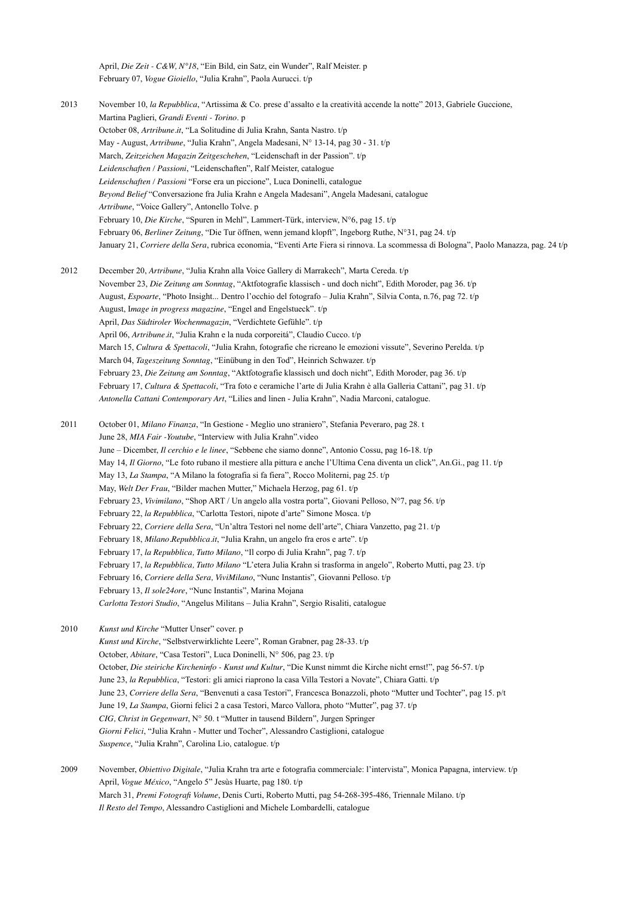April, *Die Zeit - C&W, N°18*, "Ein Bild, ein Satz, ein Wunder", Ralf Meister. p February 07, *Vogue Gioiello*, "Julia Krahn", Paola Aurucci. t/p

2013 November 10, *la Repubblica*, "Artissima & Co. prese d'assalto e la creatività accende la notte" 2013, Gabriele Guccione, Martina Paglieri, *Grandi Eventi - Torino*. p October 08, *Artribune.it*, "La Solitudine di Julia Krahn, Santa Nastro. t/p May - August, *Artribune*, "Julia Krahn", Angela Madesani, N° 13-14, pag 30 - 31. t/p March, *Zeitzeichen Magazin Zeitgeschehen*, "Leidenschaft in der Passion". t/p *Leidenschaften / Passioni*, "Leidenschaften", Ralf Meister, catalogue *Leidenschaften / Passioni* "Forse era un piccione", Luca Doninelli, catalogue *Beyond Belief* "Conversazione fra Julia Krahn e Angela Madesani", Angela Madesani, catalogue *Artribune*, "Voice Gallery", Antonello Tolve. p February 10, *Die Kirche*, "Spuren in Mehl", Lammert-Türk, interview, N°6, pag 15. t/p February 06, *Berliner Zeitung*, "Die Tur öffnen, wenn jemand klopft", Ingeborg Ruthe, N°31, pag 24. t/p January 21, *Corriere della Sera*, rubrica economia, "Eventi Arte Fiera si rinnova. La scommessa di Bologna", Paolo Manazza, pag. 24 t/p

2012 December 20, *Artribune*, "Julia Krahn alla Voice Gallery di Marrakech", Marta Cereda. t/p November 23, *Die Zeitung am Sonntag*, "Aktfotografie klassisch - und doch nicht", Edith Moroder, pag 36. t/p August, *Espoarte*, "Photo Insight... Dentro l'occhio del fotografo – Julia Krahn", Silvia Conta, n.76, pag 72. t/p August, I*mage in progress magazine*, "Engel and Engelstueck". t/p April, *Das Südtiroler Wochenmagazin*, "Verdichtete Gefühle". t/p April 06, *Artribune.it*, "Julia Krahn e la nuda corporeitá", Claudio Cucco. t/p March 15, *Cultura & Spettacoli*, "Julia Krahn, fotografie che ricreano le emozioni vissute", Severino Perelda. t/p March 04, *Tageszeitung Sonntag*, "Einübung in den Tod", Heinrich Schwazer. t/p February 23, *Die Zeitung am Sonntag*, "Aktfotografie klassisch und doch nicht", Edith Moroder, pag 36. t/p February 17, *Cultura & Spettacoli*, "Tra foto e ceramiche l'arte di Julia Krahn è alla Galleria Cattani", pag 31. t/p *Antonella Cattani Contemporary Art*, "Lilies and linen - Julia Krahn", Nadia Marconi, catalogue.

2011 October 01, *Milano Finanza*, "In Gestione - Meglio uno straniero", Stefania Peveraro, pag 28. t June 28, *MIA Fair -Youtube*, "Interview with Julia Krahn".video June – Dicember, *Il cerchio e le linee*, "Sebbene che siamo donne", Antonio Cossu, pag 16-18. t/p May 14, *Il Giorno*, "Le foto rubano il mestiere alla pittura e anche l'Ultima Cena diventa un click", An.Gi., pag 11. t/p May 13, *La Stampa*, "A Milano la fotografia si fa fiera", Rocco Moliterni, pag 25. t/p May, *Welt Der Frau*, "Bilder machen Mutter," Michaela Herzog, pag 61. t/p February 23, *Vivimilano*, "Shop ART / Un angelo alla vostra porta", Giovani Pelloso, N°7, pag 56. t/p February 22, *la Repubblica*, "Carlotta Testori, nipote d'arte" Simone Mosca. t/p February 22, *Corriere della Sera*, "Un'altra Testori nel nome dell'arte", Chiara Vanzetto, pag 21. t/p February 18, *Milano.Repubblica.it*, "Julia Krahn, un angelo fra eros e arte". t/p February 17, *la Repubblica, Tutto Milano*, "Il corpo di Julia Krahn", pag 7. t/p February 17, *la Repubblica, Tutto Milano* "L'etera Julia Krahn si trasforma in angelo", Roberto Mutti, pag 23. t/p February 16, *Corriere della Sera, ViviMilano*, "Nunc Instantis", Giovanni Pelloso. t/p February 13, *Il sole24ore*, "Nunc Instantis", Marina Mojana *Carlotta Testori Studio*, "Angelus Militans – Julia Krahn", Sergio Risaliti, catalogue

2010 *Kunst und Kirche* "Mutter Unser" cover. p *Kunst und Kirche*, "Selbstverwirklichte Leere", Roman Grabner, pag 28-33. t/p October, *Abitare*, "Casa Testori", Luca Doninelli, N° 506, pag 23. t/p October, *Die steiriche Kircheninfo - Kunst und Kultur*, "Die Kunst nimmt die Kirche nicht ernst!", pag 56-57. t/p June 23, *la Repubblica*, "Testori: gli amici riaprono la casa Villa Testori a Novate", Chiara Gatti. t/p June 23, *Corriere della Sera*, "Benvenuti a casa Testori", Francesca Bonazzoli, photo "Mutter und Tochter", pag 15. p/t June 19, *La Stampa*, Giorni felici 2 a casa Testori, Marco Vallora, photo "Mutter", pag 37. t/p *CIG, Christ in Gegenwart*, N° 50. t "Mutter in tausend Bildern", Jurgen Springer *Giorni Felici*, "Julia Krahn - Mutter und Tocher", Alessandro Castiglioni, catalogue *Suspence*, "Julia Krahn", Carolina Lio, catalogue. t/p

2009 November, *Obiettivo Digitale*, "Julia Krahn tra arte e fotografia commerciale: l'intervista", Monica Papagna, interview. t/p April, *Vogue México*, "Angelo 5" Jesùs Huarte, pag 180. t/p March 31, *Premi Fotografi Volume*, Denis Curti, Roberto Mutti, pag 54-268-395-486, Triennale Milano. t/p *Il Resto del Tempo*, Alessandro Castiglioni and Michele Lombardelli, catalogue